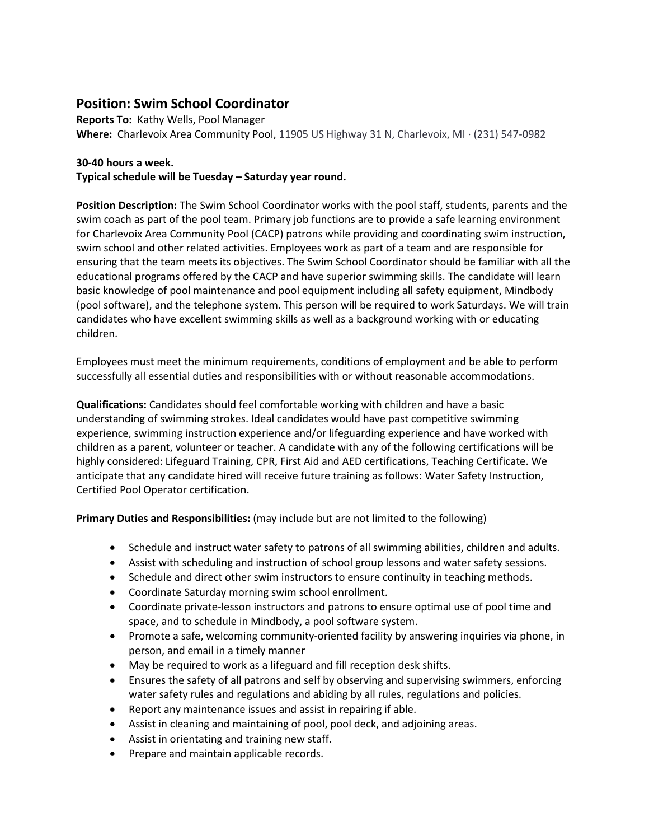## **Position: Swim School Coordinator**

**Reports To:** Kathy Wells, Pool Manager **Where:** Charlevoix Area Community Pool, 11905 US Highway 31 N, Charlevoix, MI · (231) 547-0982

**30-40 hours a week.**

**Typical schedule will be Tuesday – Saturday year round.**

**Position Description:** The Swim School Coordinator works with the pool staff, students, parents and the swim coach as part of the pool team. Primary job functions are to provide a safe learning environment for Charlevoix Area Community Pool (CACP) patrons while providing and coordinating swim instruction, swim school and other related activities. Employees work as part of a team and are responsible for ensuring that the team meets its objectives. The Swim School Coordinator should be familiar with all the educational programs offered by the CACP and have superior swimming skills. The candidate will learn basic knowledge of pool maintenance and pool equipment including all safety equipment, Mindbody (pool software), and the telephone system. This person will be required to work Saturdays. We will train candidates who have excellent swimming skills as well as a background working with or educating children.

Employees must meet the minimum requirements, conditions of employment and be able to perform successfully all essential duties and responsibilities with or without reasonable accommodations.

**Qualifications:** Candidates should feel comfortable working with children and have a basic understanding of swimming strokes. Ideal candidates would have past competitive swimming experience, swimming instruction experience and/or lifeguarding experience and have worked with children as a parent, volunteer or teacher. A candidate with any of the following certifications will be highly considered: Lifeguard Training, CPR, First Aid and AED certifications, Teaching Certificate. We anticipate that any candidate hired will receive future training as follows: Water Safety Instruction, Certified Pool Operator certification.

**Primary Duties and Responsibilities:** (may include but are not limited to the following)

- Schedule and instruct water safety to patrons of all swimming abilities, children and adults.
- Assist with scheduling and instruction of school group lessons and water safety sessions.
- Schedule and direct other swim instructors to ensure continuity in teaching methods.
- Coordinate Saturday morning swim school enrollment.
- Coordinate private-lesson instructors and patrons to ensure optimal use of pool time and space, and to schedule in Mindbody, a pool software system.
- Promote a safe, welcoming community-oriented facility by answering inquiries via phone, in person, and email in a timely manner
- May be required to work as a lifeguard and fill reception desk shifts.
- Ensures the safety of all patrons and self by observing and supervising swimmers, enforcing water safety rules and regulations and abiding by all rules, regulations and policies.
- Report any maintenance issues and assist in repairing if able.
- Assist in cleaning and maintaining of pool, pool deck, and adjoining areas.
- Assist in orientating and training new staff.
- Prepare and maintain applicable records.